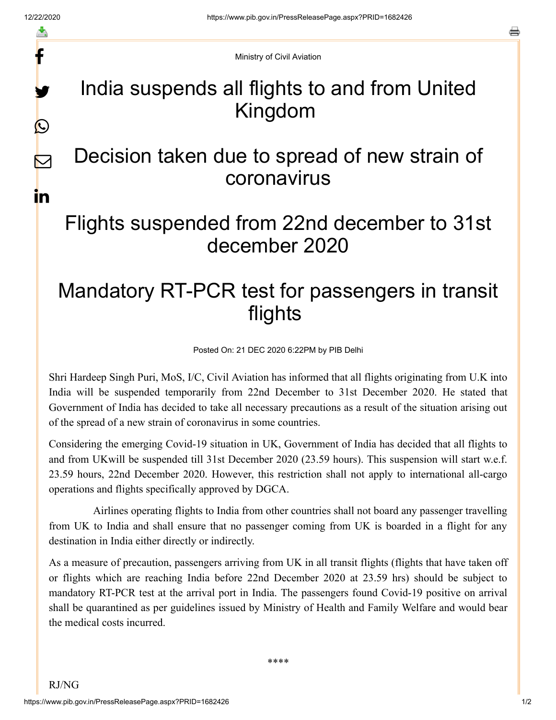f

y.

 $\bigcirc$ 

 $\color{red} \blacktriangleright$ 

in

s

Ministry of Civil Aviation

## India suspends all flights to and from United Kingdom

## Decision taken due to spread of new strain of coronavirus

## Flights suspended from 22nd december to 31st december 2020

## Mandatory RT-PCR test for passengers in transit flights

Posted On: 21 DEC 2020 6:22PM by PIB Delhi

Shri Hardeep Singh Puri, MoS, I/C, Civil Aviation has informed that all flights originating from U.K into India will be suspended temporarily from 22nd December to 31st December 2020. He stated that Government of India has decided to take all necessary precautions as a result of the situation arising out of the spread of a new strain of coronavirus in some countries.

Considering the emerging Covid-19 situation in UK, Government of India has decided that all flights to and from UKwill be suspended till 31st December 2020 (23.59 hours). This suspension will start w.e.f. 23.59 hours, 22nd December 2020. However, this restriction shall not apply to international all-cargo operations and flights specifically approved by DGCA.

Airlines operating flights to India from other countries shall not board any passenger travelling from UK to India and shall ensure that no passenger coming from UK is boarded in a flight for any destination in India either directly or indirectly.

As a measure of precaution, passengers arriving from UK in all transit flights (flights that have taken off or flights which are reaching India before 22nd December 2020 at 23.59 hrs) should be subject to mandatory RT-PCR test at the arrival port in India. The passengers found Covid-19 positive on arrival shall be quarantined as per guidelines issued by Ministry of Health and Family Welfare and would bear the medical costs incurred.

\*\*\*\*